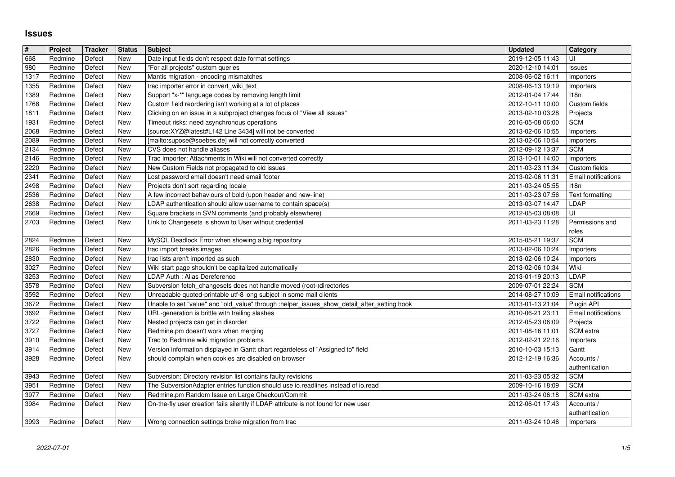## **Issues**

| $\sqrt{\frac{4}{15}}$ | Project            | <b>Tracker</b>   | <b>Status</b>            | <b>Subject</b>                                                                                                                                     | <b>Updated</b>                       | Category                        |
|-----------------------|--------------------|------------------|--------------------------|----------------------------------------------------------------------------------------------------------------------------------------------------|--------------------------------------|---------------------------------|
| 668<br>980            | Redmine<br>Redmine | Defect<br>Defect | New<br>New               | Date input fields don't respect date format settings<br>"For all projects" custom queries                                                          | 2019-12-05 11:43<br>2020-12-10 14:01 | UI<br><b>Issues</b>             |
| 1317                  | Redmine            | Defect           | New                      | Mantis migration - encoding mismatches                                                                                                             | 2008-06-02 16:11                     | Importers                       |
| 1355<br>1389          | Redmine<br>Redmine | Defect<br>Defect | <b>New</b><br><b>New</b> | trac importer error in convert_wiki_text<br>Support "x-*" language codes by removing length limit                                                  | 2008-06-13 19:19<br>2012-01-04 17:44 | Importers<br><b>I18n</b>        |
| 1768                  | Redmine            | Defect           | New                      | Custom field reordering isn't working at a lot of places                                                                                           | 2012-10-11 10:00                     | Custom fields                   |
| 1811                  | Redmine            | Defect           | <b>New</b>               | Clicking on an issue in a subproject changes focus of "View all issues"                                                                            | 2013-02-10 03:28                     | Projects                        |
| 1931<br>2068          | Redmine<br>Redmine | Defect<br>Defect | New<br>New               | Timeout risks: need asynchronous operations<br>[source:XYZ@latest#L142 Line 3434] will not be converted                                            | 2016-05-08 06:00<br>2013-02-06 10:55 | <b>SCM</b><br>Importers         |
| 2089                  | Redmine            | Defect           | New                      | [mailto:supose@soebes.de] will not correctly converted                                                                                             | 2013-02-06 10:54                     | Importers                       |
| $\sqrt{2134}$<br>2146 | Redmine<br>Redmine | Defect<br>Defect | New<br>New               | CVS does not handle aliases<br>Trac Importer: Attachments in Wiki will not converted correctly                                                     | 2012-09-12 13:37<br>2013-10-01 14:00 | <b>SCM</b>                      |
| 2220                  | Redmine            | Defect           | <b>New</b>               | New Custom Fields not propagated to old issues                                                                                                     | 2011-03-23 11:34                     | Importers<br>Custom fields      |
| 2341                  | Redmine            | Defect           | New                      | Lost password email doesn't need email footer                                                                                                      | 2013-02-06 11:31                     | Email notifications             |
| 2498<br>2536          | Redmine<br>Redmine | Defect<br>Defect | New<br><b>New</b>        | Projects don't sort regarding locale<br>A few incorrect behaviours of bold (upon header and new-line)                                              | 2011-03-24 05:55<br>2011-03-23 07:56 | 118n<br>Text formatting         |
| 2638                  | Redmine            | Defect           | New                      | LDAP authentication should allow username to contain space(s)                                                                                      | 2013-03-07 14:47                     | LDAP                            |
| 2669<br>2703          | Redmine<br>Redmine | Defect<br>Defect | New<br><b>New</b>        | Square brackets in SVN comments (and probably elsewhere)<br>Link to Changesets is shown to User without credential                                 | 2012-05-03 08:08<br>2011-03-23 11:28 | UI<br>Permissions and           |
|                       |                    |                  |                          |                                                                                                                                                    |                                      | roles                           |
| 2824                  | Redmine            | Defect           | New                      | MySQL Deadlock Error when showing a big repository                                                                                                 | 2015-05-21 19:37                     | <b>SCM</b>                      |
| 2826<br>2830          | Redmine<br>Redmine | Defect<br>Defect | New<br><b>New</b>        | trac import breaks images<br>trac lists aren't imported as such                                                                                    | 2013-02-06 10:24<br>2013-02-06 10:24 | Importers<br>Importers          |
| 3027                  | Redmine            | Defect           | New                      | Wiki start page shouldn't be capitalized automatically                                                                                             | 2013-02-06 10:34                     | Wiki                            |
| 3253                  | Redmine            | Defect           | New<br>New               | LDAP Auth : Alias Dereference                                                                                                                      | 2013-01-19 20:13                     | LDAP<br><b>SCM</b>              |
| 3578<br>3592          | Redmine<br>Redmine | Defect<br>Defect | New                      | Subversion fetch_changesets does not handle moved (root-)directories<br>Unreadable quoted-printable utf-8 long subject in some mail clients        | 2009-07-01 22:24<br>2014-08-27 10:09 | Email notifications             |
| 3672                  | Redmine            | Defect           | New                      | Unable to set "value" and "old_value" through :helper_issues_show_detail_after_setting hook                                                        | 2013-01-13 21:04                     | Plugin API                      |
| 3692<br>3722          | Redmine<br>Redmine | Defect<br>Defect | New<br>New               | URL-generation is brittle with trailing slashes<br>Nested projects can get in disorder                                                             | 2010-06-21 23:11<br>2012-05-23 06:09 | Email notifications<br>Projects |
| 3727                  | Redmine            | Defect           | New                      | Redmine.pm doesn't work when merging                                                                                                               | 2011-08-16 11:01                     | SCM extra                       |
| 3910                  | Redmine            | Defect           | New                      | Trac to Redmine wiki migration problems                                                                                                            | 2012-02-21 22:16                     | Importers                       |
| 3914<br>3928          | Redmine<br>Redmine | Defect<br>Defect | New<br>New               | Version information displayed in Gantt chart regardeless of "Assigned to" field<br>should complain when cookies are disabled on browser            | 2010-10-03 15:13<br>2012-12-19 16:36 | Gantt<br>Accounts /             |
|                       |                    |                  |                          |                                                                                                                                                    |                                      | authentication                  |
| 3943<br>3951          | Redmine<br>Redmine | Defect<br>Defect | New<br><b>New</b>        | Subversion: Directory revision list contains faulty revisions<br>The SubversionAdapter entries function should use io.readlines instead of io.read | 2011-03-23 05:32<br>2009-10-16 18:09 | <b>SCM</b><br><b>SCM</b>        |
| 3977                  | Redmine            | Defect           | <b>New</b>               | Redmine.pm Random Issue on Large Checkout/Commit                                                                                                   | 2011-03-24 06:18                     | SCM extra                       |
| 3984                  | Redmine            | Defect           | New                      | On-the-fly user creation fails silently if LDAP attribute is not found for new user                                                                | 2012-06-01 17:43                     | Accounts /                      |
| 3993                  | Redmine            | Defect           | New                      | Wrong connection settings broke migration from trac                                                                                                | 2011-03-24 10:46                     | authentication<br>Importers     |
|                       |                    |                  |                          |                                                                                                                                                    |                                      |                                 |
|                       |                    |                  |                          |                                                                                                                                                    |                                      |                                 |
|                       |                    |                  |                          |                                                                                                                                                    |                                      |                                 |
|                       |                    |                  |                          |                                                                                                                                                    |                                      |                                 |
|                       |                    |                  |                          |                                                                                                                                                    |                                      |                                 |
|                       |                    |                  |                          |                                                                                                                                                    |                                      |                                 |
|                       |                    |                  |                          |                                                                                                                                                    |                                      |                                 |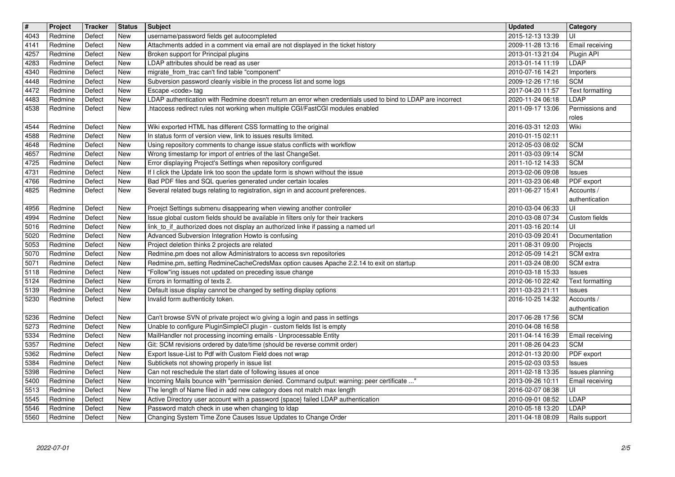| $\overline{\mathbf{H}}$ | Project            | Tracker          | <b>Status</b>            | <b>Subject</b>                                                                                                                                                 | <b>Updated</b>                       | Category<br>UI                     |
|-------------------------|--------------------|------------------|--------------------------|----------------------------------------------------------------------------------------------------------------------------------------------------------------|--------------------------------------|------------------------------------|
| 4043<br>4141            | Redmine<br>Redmine | Defect<br>Defect | <b>New</b><br><b>New</b> | username/password fields get autocompleted<br>Attachments added in a comment via email are not displayed in the ticket history                                 | 2015-12-13 13:39<br>2009-11-28 13:16 | Email receiving                    |
| 4257                    | Redmine<br>Redmine | Defect           | New<br><b>New</b>        | Broken support for Principal plugins<br>LDAP attributes should be read as user                                                                                 | 2013-01-13 21:04                     | Plugin API<br>LDAP                 |
| 4283<br>4340            | Redmine            | Defect<br>Defect | New                      | migrate_from_trac can't find table "component"                                                                                                                 | 2013-01-14 11:19<br>2010-07-16 14:21 | Importers                          |
| 4448                    | Redmine            | Defect           | <b>New</b>               | Subversion password cleanly visible in the process list and some logs                                                                                          | 2009-12-26 17:16                     | <b>SCM</b>                         |
| 4472<br>4483            | Redmine<br>Redmine | Defect<br>Defect | New<br>New               | Escape <code> tag<br/>LDAP authentication with Redmine doesn't return an error when credentials used to bind to LDAP are incorrect</code>                      | 2017-04-20 11:57<br>2020-11-24 06:18 | Text formatting<br>LDAP            |
| 4538                    | Redmine            | Defect           | New                      | .htaccess redirect rules not working when multiple CGI/FastCGI modules enabled                                                                                 | 2011-09-17 13:06                     | Permissions and                    |
| 4544                    | Redmine            | Defect           | <b>New</b>               | Wiki exported HTML has different CSS formatting to the original                                                                                                | 2016-03-31 12:03                     | roles<br>Wiki                      |
| 4588                    | Redmine            | Defect           | <b>New</b>               | In status form of version view, link to issues results limited.                                                                                                | 2010-01-15 02:11                     |                                    |
| 4648<br>4657            | Redmine<br>Redmine | Defect<br>Defect | New<br>New               | Using repository comments to change issue status conflicts with workflow<br>Wrong timestamp for import of entries of the last ChangeSet.                       | 2012-05-03 08:02<br>2011-03-03 09:14 | <b>SCM</b><br><b>SCM</b>           |
| 4725                    | Redmine            | Defect           | <b>New</b>               | Error displaying Project's Settings when repository configured                                                                                                 | 2011-10-12 14:33                     | <b>SCM</b>                         |
| 4731<br>4766            | Redmine<br>Redmine | Defect<br>Defect | New<br>New               | If I click the Update link too soon the update form is shown without the issue<br>Bad PDF files and SQL queries generated under certain locales                | 2013-02-06 09:08<br>2011-03-23 06:48 | Issues<br>PDF export               |
| 4825                    | Redmine            | Defect           | New                      | Several related bugs relating to registration, sign in and account preferences.                                                                                | 2011-06-27 15:41                     | Accounts /                         |
| 4956                    | Redmine            | Defect           | New                      | Proejct Settings submenu disappearing when viewing another controller                                                                                          | 2010-03-04 06:33                     | authentication<br>UI               |
| 4994                    | Redmine            | Defect           | New                      | Issue global custom fields should be available in filters only for their trackers                                                                              | 2010-03-08 07:34                     | Custom fields                      |
| 5016<br>5020            | Redmine<br>Redmine | Defect<br>Defect | <b>New</b><br><b>New</b> | link_to_if_authorized does not display an authorized linke if passing a named url<br>Advanced Subversion Integration Howto is confusing                        | 2011-03-16 20:14<br>2010-03-09 20:41 | UI<br>Documentation                |
| 5053                    | Redmine            | Defect           | <b>New</b>               | Project deletion thinks 2 projects are related                                                                                                                 | 2011-08-31 09:00                     | Projects                           |
| 5070<br>5071            | Redmine<br>Redmine | Defect<br>Defect | <b>New</b><br><b>New</b> | Redmine.pm does not allow Administrators to access svn repositories<br>Redmine.pm, setting RedmineCacheCredsMax option causes Apache 2.2.14 to exit on startup | 2012-05-09 14:21<br>2011-03-24 08:00 | SCM extra<br>SCM extra             |
| 5118                    | Redmine            | Defect           | New                      | "Follow"ing issues not updated on preceding issue change                                                                                                       | 2010-03-18 15:33                     | <b>Issues</b>                      |
| 5124<br>5139            | Redmine<br>Redmine | Defect<br>Defect | New<br>New               | Errors in formatting of texts 2.<br>Default issue display cannot be changed by setting display options                                                         | 2012-06-10 22:42<br>2011-03-23 21:11 | Text formatting<br><b>Issues</b>   |
| 5230                    | Redmine            | Defect           | New                      | Invalid form authenticity token.                                                                                                                               | 2016-10-25 14:32                     | Accounts /                         |
| 5236                    | Redmine            | Defect           | <b>New</b>               | Can't browse SVN of private project w/o giving a login and pass in settings                                                                                    | 2017-06-28 17:56                     | authentication<br><b>SCM</b>       |
| 5273                    | Redmine            | Defect           | <b>New</b>               | Unable to configure PluginSimpleCI plugin - custom fields list is empty                                                                                        | 2010-04-08 16:58                     |                                    |
| 5334<br>5357            | Redmine<br>Redmine | Defect<br>Defect | <b>New</b><br>New        | MailHandler not processing incoming emails - Unprocessable Entity<br>Git: SCM revisions ordered by date/time (should be reverse commit order)                  | 2011-04-14 16:39<br>2011-08-26 04:23 | Email receiving<br><b>SCM</b>      |
| 5362                    | Redmine            | Defect           | New                      | Export Issue-List to Pdf with Custom Field does not wrap                                                                                                       | 2012-01-13 20:00                     | PDF export                         |
| 5384                    | Redmine            | Defect           | New                      | Subtickets not showing properly in issue list<br>Can not reschedule the start date of following issues at once                                                 | 2015-02-03 03:53                     | <b>Issues</b>                      |
| 5398<br>5400            | Redmine<br>Redmine | Defect<br>Defect | New<br>New               | Incoming Mails bounce with "permission denied. Command output: warning: peer certificate "                                                                     | 2011-02-18 13:35<br>2013-09-26 10:11 | Issues planning<br>Email receiving |
| 5513<br>5545            | Redmine<br>Redmine | Defect<br>Defect | New<br>New               | The length of Name filed in add new category does not match max length<br>Active Directory user account with a password {space} failed LDAP authentication     | 2016-02-07 08:38<br>2010-09-01 08:52 | UI<br>LDAP                         |
| 5546                    | Redmine            | Defect           | New                      | Password match check in use when changing to Idap                                                                                                              | 2010-05-18 13:20                     | LDAP                               |
|                         |                    |                  |                          |                                                                                                                                                                |                                      |                                    |
|                         |                    |                  |                          |                                                                                                                                                                |                                      |                                    |
|                         |                    |                  |                          |                                                                                                                                                                |                                      |                                    |
|                         |                    |                  |                          |                                                                                                                                                                |                                      |                                    |
|                         |                    |                  |                          |                                                                                                                                                                |                                      |                                    |
|                         |                    |                  |                          |                                                                                                                                                                |                                      |                                    |
|                         |                    |                  |                          |                                                                                                                                                                |                                      |                                    |
|                         |                    |                  |                          |                                                                                                                                                                |                                      |                                    |
|                         |                    |                  |                          |                                                                                                                                                                |                                      |                                    |
|                         |                    |                  |                          |                                                                                                                                                                |                                      |                                    |
|                         |                    |                  |                          |                                                                                                                                                                |                                      |                                    |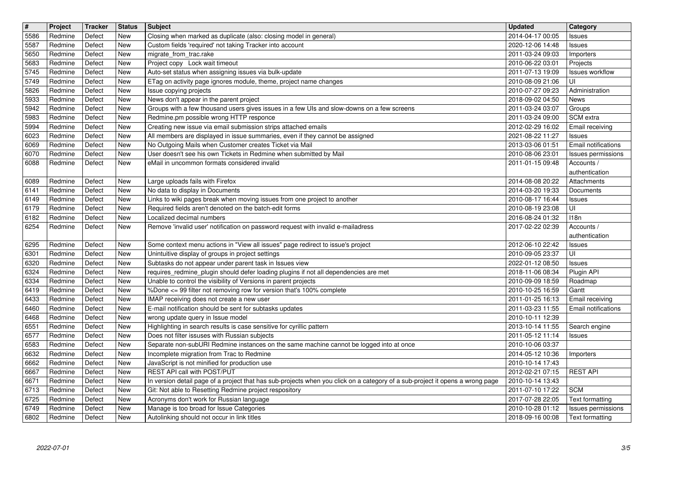| $\overline{\mathbf{H}}$ | Project            | Tracker          | <b>Status</b>            | Subject<br>Closing when marked as duplicate (also: closing model in general)                                                             | <b>Updated</b>                       | Category                             |
|-------------------------|--------------------|------------------|--------------------------|------------------------------------------------------------------------------------------------------------------------------------------|--------------------------------------|--------------------------------------|
| 5586<br>5587            | Redmine<br>Redmine | Defect<br>Defect | <b>New</b><br>New        | Custom fields 'required' not taking Tracker into account                                                                                 | 2014-04-17 00:05<br>2020-12-06 14:48 | Issues<br>Issues                     |
| 5650<br>5683            | Redmine<br>Redmine | Defect<br>Defect | New<br>New               | migrate_from_trac.rake<br>Project copy Lock wait timeout                                                                                 | 2011-03-24 09:03<br>2010-06-22 03:01 | Importers<br>Projects                |
| 5745                    | Redmine            | Defect           | New                      | Auto-set status when assigning issues via bulk-update                                                                                    | 2011-07-13 19:09                     | <b>Issues workflow</b>               |
| 5749<br>5826            | Redmine<br>Redmine | Defect<br>Defect | New<br>New               | ETag on activity page ignores module, theme, project name changes<br>Issue copying projects                                              | 2010-08-09 21:06<br>2010-07-27 09:23 | UI<br>Administration                 |
| 5933                    | Redmine            | Defect           | <b>New</b>               | News don't appear in the parent project                                                                                                  | 2018-09-02 04:50                     | News                                 |
| 5942<br>5983            | Redmine<br>Redmine | Defect<br>Defect | <b>New</b><br>New        | Groups with a few thousand users gives issues in a few UIs and slow-downs on a few screens<br>Redmine.pm possible wrong HTTP responce    | 2011-03-24 03:07<br>2011-03-24 09:00 | Groups<br>SCM extra                  |
| 5994                    | Redmine            | Defect           | New                      | Creating new issue via email submission strips attached emails                                                                           | 2012-02-29 16:02                     | Email receiving                      |
| 6023<br>6069            | Redmine<br>Redmine | Defect<br>Defect | New<br><b>New</b>        | All members are displayed in issue summaries, even if they cannot be assigned<br>No Outgoing Mails when Customer creates Ticket via Mail | 2021-08-22 11:27<br>2013-03-06 01:51 | <b>Issues</b><br>Email notifications |
| 6070                    | Redmine            | Defect           | New                      | User doesn't see his own Tickets in Redmine when submitted by Mail                                                                       | 2010-08-06 23:01                     | Issues permissions                   |
| 6088                    | Redmine            | Defect           | <b>New</b>               | eMail in uncommon formats considered invalid                                                                                             | 2011-01-15 09:48                     | Accounts /<br>authentication         |
| 6089                    | Redmine            | Defect           | <b>New</b>               | Large uploads fails with Firefox                                                                                                         | 2014-08-08 20:22                     | Attachments                          |
| 6141<br>6149            | Redmine<br>Redmine | Defect<br>Defect | New<br>New               | No data to display in Documents<br>Links to wiki pages break when moving issues from one project to another                              | 2014-03-20 19:33<br>2010-08-17 16:44 | Documents                            |
| 6179                    | Redmine            | Defect           | New                      | Required fields aren't denoted on the batch-edit forms                                                                                   | 2010-08-19 23:08                     | <b>Issues</b><br>UI                  |
| 6182<br>6254            | Redmine<br>Redmine | Defect<br>Defect | New<br><b>New</b>        | Localized decimal numbers<br>Remove 'invalid user' notification on password request with invalid e-mailadress                            | 2016-08-24 01:32<br>2017-02-22 02:39 | 118n<br>Accounts /                   |
|                         |                    |                  |                          |                                                                                                                                          |                                      | authentication                       |
| 6295<br>6301            | Redmine<br>Redmine | Defect<br>Defect | <b>New</b><br><b>New</b> | Some context menu actions in "View all issues" page redirect to issue's project                                                          | 2012-06-10 22:42<br>2010-09-05 23:37 | <b>Issues</b><br>UI                  |
| 6320                    | Redmine            | Defect           | <b>New</b>               | Unintuitive display of groups in project settings<br>Subtasks do not appear under parent task in Issues view                             | 2022-01-12 08:50                     | <b>Issues</b>                        |
| 6324                    | Redmine            | Defect           | New                      | requires_redmine_plugin should defer loading plugins if not all dependencies are met                                                     | 2018-11-06 08:34                     | Plugin API                           |
| 6334<br>6419            | Redmine<br>Redmine | Defect<br>Defect | New<br>New               | Unable to control the visibility of Versions in parent projects<br>%Done <= 99 filter not removing row for version that's 100% complete  | 2010-09-09 18:59<br>2010-10-25 16:59 | Roadmap<br>Gantt                     |
| 6433                    | Redmine            | Defect           | New                      | IMAP receiving does not create a new user                                                                                                | 2011-01-25 16:13                     | Email receiving                      |
| 6460<br>6468            | Redmine<br>Redmine | Defect<br>Defect | <b>New</b><br>New        | E-mail notification should be sent for subtasks updates<br>wrong update query in Issue model                                             | 2011-03-23 11:55<br>2010-10-11 12:39 | <b>Email notifications</b>           |
| 6551                    | Redmine            | Defect           | <b>New</b>               | Highlighting in search results is case sensitive for cyrillic pattern                                                                    | 2013-10-14 11:55                     | Search engine                        |
| 6577<br>6583            | Redmine<br>Redmine | Defect<br>Defect | New<br>New               | Does not filter issuses with Russian subjects<br>Separate non-subURI Redmine instances on the same machine cannot be logged into at once | 2011-05-12 11:14<br>2010-10-06 03:37 | <b>Issues</b>                        |
| 6632                    | Redmine            | Defect           | New                      | Incomplete migration from Trac to Redmine                                                                                                | 2014-05-12 10:36                     | Importers                            |
| 6662<br>6667            | Redmine<br>Redmine | Defect<br>Defect | New<br>New               | JavaScript is not minified for production use<br>REST API call with POST/PUT                                                             | 2010-10-14 17:43<br>2012-02-21 07:15 | <b>REST API</b>                      |
| 6671                    | Redmine            | Defect           | New                      | In version detail page of a project that has sub-projects when you click on a category of a sub-project it opens a wrong page            | 2010-10-14 13:43                     |                                      |
| 6713<br>6725            | Redmine<br>Redmine | Defect<br>Defect | New<br>New               | Git: Not able to Resetting Redmine project respository<br>Acronyms don't work for Russian language                                       | 2011-07-10 17:22<br>2017-07-28 22:05 | <b>SCM</b><br>Text formatting        |
| 6749                    | Redmine            | Defect           | New                      | Manage is too broad for Issue Categories                                                                                                 | 2010-10-28 01:12                     | Issues permissions                   |
|                         | 2022-07-01         |                  |                          |                                                                                                                                          |                                      | 3/5                                  |
|                         |                    |                  |                          |                                                                                                                                          |                                      |                                      |
|                         |                    |                  |                          |                                                                                                                                          |                                      |                                      |
|                         |                    |                  |                          |                                                                                                                                          |                                      |                                      |
|                         |                    |                  |                          |                                                                                                                                          |                                      |                                      |
|                         |                    |                  |                          |                                                                                                                                          |                                      |                                      |
|                         |                    |                  |                          |                                                                                                                                          |                                      |                                      |
|                         |                    |                  |                          |                                                                                                                                          |                                      |                                      |
|                         |                    |                  |                          |                                                                                                                                          |                                      |                                      |
|                         |                    |                  |                          |                                                                                                                                          |                                      |                                      |
|                         |                    |                  |                          |                                                                                                                                          |                                      |                                      |
|                         |                    |                  |                          |                                                                                                                                          |                                      |                                      |
|                         |                    |                  |                          |                                                                                                                                          |                                      |                                      |
|                         |                    |                  |                          |                                                                                                                                          |                                      |                                      |
|                         |                    |                  |                          |                                                                                                                                          |                                      |                                      |
|                         |                    |                  |                          |                                                                                                                                          |                                      |                                      |
|                         |                    |                  |                          |                                                                                                                                          |                                      |                                      |
|                         |                    |                  |                          |                                                                                                                                          |                                      |                                      |
|                         |                    |                  |                          |                                                                                                                                          |                                      |                                      |
|                         |                    |                  |                          |                                                                                                                                          |                                      |                                      |
|                         |                    |                  |                          |                                                                                                                                          |                                      |                                      |
|                         |                    |                  |                          |                                                                                                                                          |                                      |                                      |
|                         |                    |                  |                          |                                                                                                                                          |                                      |                                      |
|                         |                    |                  |                          |                                                                                                                                          |                                      |                                      |
|                         |                    |                  |                          |                                                                                                                                          |                                      |                                      |
|                         |                    |                  |                          |                                                                                                                                          |                                      |                                      |
|                         |                    |                  |                          |                                                                                                                                          |                                      |                                      |
|                         |                    |                  |                          |                                                                                                                                          |                                      |                                      |
|                         |                    |                  |                          |                                                                                                                                          |                                      |                                      |
|                         |                    |                  |                          |                                                                                                                                          |                                      |                                      |
|                         |                    |                  |                          |                                                                                                                                          |                                      |                                      |
|                         |                    |                  |                          |                                                                                                                                          |                                      |                                      |
|                         |                    |                  |                          |                                                                                                                                          |                                      |                                      |
|                         |                    |                  |                          |                                                                                                                                          |                                      |                                      |
|                         |                    |                  |                          |                                                                                                                                          |                                      |                                      |
|                         |                    |                  |                          |                                                                                                                                          |                                      |                                      |
|                         |                    |                  |                          |                                                                                                                                          |                                      |                                      |
|                         |                    |                  |                          |                                                                                                                                          |                                      |                                      |
|                         |                    |                  |                          |                                                                                                                                          |                                      |                                      |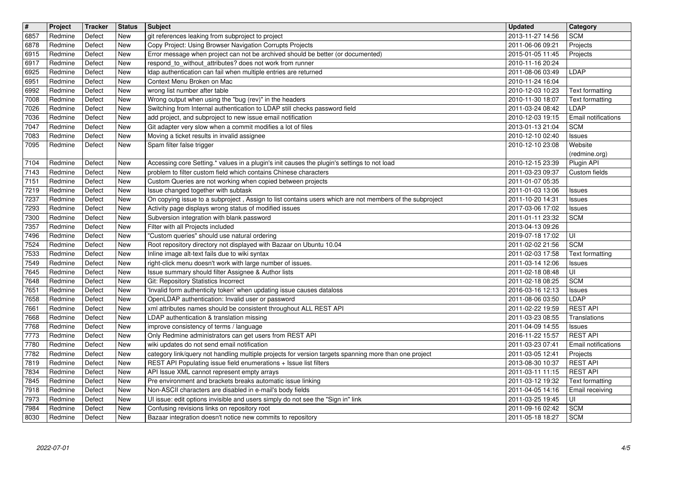| $\overline{\mathbf{H}}$ | Project            | Tracker          | <b>Status</b>            | <b>Subject</b>                                                                                                                                                             | <b>Updated</b>                       | <b>Category</b>                    |
|-------------------------|--------------------|------------------|--------------------------|----------------------------------------------------------------------------------------------------------------------------------------------------------------------------|--------------------------------------|------------------------------------|
| 6857<br>6878            | Redmine<br>Redmine | Defect<br>Defect | New<br><b>New</b>        | git references leaking from subproject to project<br>Copy Project: Using Browser Navigation Corrupts Projects                                                              | 2013-11-27 14:56<br>2011-06-06 09:21 | <b>SCM</b><br>Projects             |
| 6915                    | Redmine<br>Redmine | Defect<br>Defect | New<br>New               | Error message when project can not be archived should be better (or documented)<br>respond_to_without_attributes? does not work from runner                                | 2015-01-05 11:45<br>2010-11-16 20:24 | Projects                           |
| 6917<br>6925            | Redmine            | Defect           | New                      | Idap authentication can fail when multiple entries are returned                                                                                                            | 2011-08-06 03:49                     | <b>LDAP</b>                        |
| 6951<br>6992            | Redmine<br>Redmine | Defect<br>Defect | <b>New</b><br><b>New</b> | Context Menu Broken on Mac<br>wrong list number after table                                                                                                                | 2010-11-24 16:04<br>2010-12-03 10:23 | Text formatting                    |
| 7008                    | Redmine            | Defect           | New                      | Wrong output when using the "bug (rev)" in the headers                                                                                                                     | 2010-11-30 18:07                     | Text formatting                    |
| 7026<br>7036            | Redmine<br>Redmine | Defect<br>Defect | New<br>New               | Switching from Internal authentication to LDAP still checks password field<br>add project, and subproject to new issue email notification                                  | 2011-03-24 08:42                     | LDAP<br>Email notifications        |
| 7047                    | Redmine            | Defect           | <b>New</b>               | Git adapter very slow when a commit modifies a lot of files                                                                                                                | 2010-12-03 19:15<br>2013-01-13 21:04 | <b>SCM</b>                         |
| 7083<br>7095            | Redmine<br>Redmine | Defect<br>Defect | New<br>New               | Moving a ticket results in invalid assignee<br>Spam filter false trigger                                                                                                   | 2010-12-10 02:40<br>2010-12-10 23:08 | Issues<br>Website                  |
|                         |                    |                  |                          |                                                                                                                                                                            |                                      | (redmine.org)                      |
| 7104<br>7143            | Redmine<br>Redmine | Defect<br>Defect | New<br><b>New</b>        | Accessing core Setting.* values in a plugin's init causes the plugin's settings to not load<br>problem to filter custom field which contains Chinese characters            | 2010-12-15 23:39<br>2011-03-23 09:37 | Plugin API<br>Custom fields        |
| 7151                    | Redmine            | Defect           | New                      | Custom Queries are not working when copied between projects                                                                                                                | 2011-01-07 05:35                     |                                    |
| 7219<br>7237            | Redmine<br>Redmine | Defect<br>Defect | New<br>New               | Issue changed together with subtask<br>On copying issue to a subproject, Assign to list contains users which are not members of the subproject                             | 2011-01-03 13:06<br>2011-10-20 14:31 | Issues<br><b>Issues</b>            |
| 7293                    | Redmine            | Defect           | New                      | Activity page displays wrong status of modified issues                                                                                                                     | 2017-03-06 17:02                     | <b>Issues</b>                      |
| 7300<br>7357            | Redmine<br>Redmine | Defect<br>Defect | New<br><b>New</b>        | Subversion integration with blank password<br>Filter with all Projects included                                                                                            | 2011-01-11 23:32<br>2013-04-13 09:26 | <b>SCM</b>                         |
| 7496                    | Redmine            | Defect           | New                      | "Custom queries" should use natural ordering                                                                                                                               | 2019-07-18 17:02                     | ΙUΙ                                |
| 7524<br>7533            | Redmine<br>Redmine | Defect<br>Defect | New<br><b>New</b>        | Root repository directory not displayed with Bazaar on Ubuntu 10.04<br>Inline image alt-text fails due to wiki syntax                                                      | 2011-02-02 21:56<br>2011-02-03 17:58 | <b>SCM</b><br>Text formatting      |
| 7549                    | Redmine            | Defect           | New                      | right-click menu doesn't work with large number of issues.                                                                                                                 | 2011-03-14 12:06                     | <b>Issues</b>                      |
| 7645<br>7648            | Redmine<br>Redmine | Defect<br>Defect | New<br>New               | Issue summary should filter Assignee & Author lists<br>Git: Repository Statistics Incorrect                                                                                | 2011-02-18 08:48<br>2011-02-18 08:25 | UI<br><b>SCM</b>                   |
| 7651                    | Redmine            | Defect           | New                      | Invalid form authenticity token' when updating issue causes dataloss                                                                                                       | 2016-03-16 12:13                     | <b>Issues</b>                      |
| 7658<br>7661            | Redmine<br>Redmine | Defect<br>Defect | <b>New</b><br>New        | OpenLDAP authentication: Invalid user or password<br>xml attributes names should be consistent throughout ALL REST API                                                     | 2011-08-06 03:50<br>2011-02-22 19:59 | LDAP<br><b>REST API</b>            |
| 7668                    | Redmine            | Defect           | New                      | LDAP authentication & translation missing                                                                                                                                  | 2011-03-23 08:55                     | Translations                       |
| 7768<br>7773            | Redmine<br>Redmine | Defect<br>Defect | New<br>New               | improve consistency of terms / language<br>Only Redmine administrators can get users from REST API                                                                         | 2011-04-09 14:55<br>2016-11-22 15:57 | <b>Issues</b><br><b>REST API</b>   |
| 7780                    | Redmine            | Defect           | New                      | wiki updates do not send email notification                                                                                                                                | 2011-03-23 07:41                     | Email notifications                |
| 7782<br>7819            | Redmine<br>Redmine | Defect<br>Defect | <b>New</b><br><b>New</b> | category link/query not handling multiple projects for version targets spanning more than one project<br>REST API Populating issue field enumerations + Issue list filters | 2011-03-05 12:41<br>2013-08-30 10:37 | Projects<br><b>REST API</b>        |
| 7834                    | Redmine            | Defect           | New                      | API Issue XML cannot represent empty arrays                                                                                                                                | 2011-03-11 11:15                     | <b>REST API</b>                    |
| 7845<br>7918            | Redmine<br>Redmine | Defect<br>Defect | New<br><b>New</b>        | Pre environment and brackets breaks automatic issue linking<br>Non-ASCII characters are disabled in e-mail's body fields                                                   | 2011-03-12 19:32<br>2011-04-05 14:16 | Text formatting<br>Email receiving |
| 7973                    | Redmine            | Defect           | New                      | UI issue: edit options invisible and users simply do not see the "Sign in" link                                                                                            | 2011-03-25 19:45                     | ΙUΙ                                |
| 7984<br>8030            | Redmine<br>Redmine | Defect<br>Defect | New<br>New               | Confusing revisions links on repository root<br>Bazaar integration doesn't notice new commits to repository                                                                | 2011-09-16 02:42<br>2011-05-18 18:27 | <b>SCM</b><br><b>SCM</b>           |
|                         |                    |                  |                          |                                                                                                                                                                            |                                      |                                    |
|                         |                    |                  |                          |                                                                                                                                                                            |                                      |                                    |
|                         |                    |                  |                          |                                                                                                                                                                            |                                      |                                    |
|                         |                    |                  |                          |                                                                                                                                                                            |                                      |                                    |